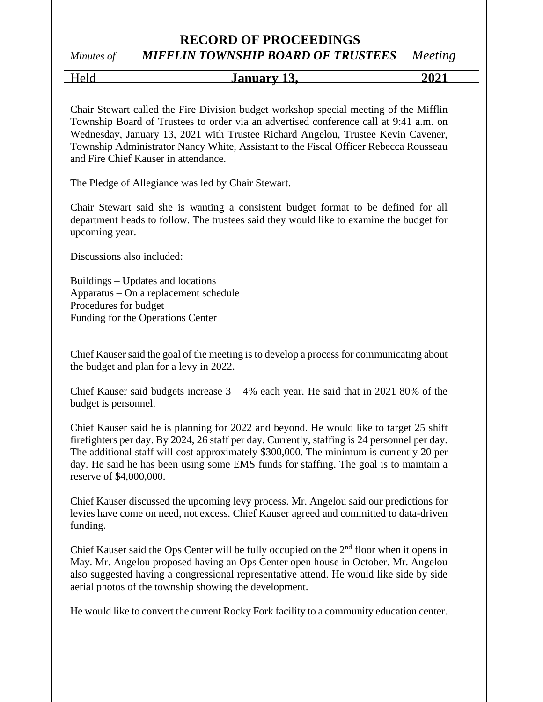## **RECORD OF PROCEEDINGS**

## *Minutes of MIFFLIN TOWNSHIP BOARD OF TRUSTEES Meeting*

Held **January 13, 2021**

Chair Stewart called the Fire Division budget workshop special meeting of the Mifflin Township Board of Trustees to order via an advertised conference call at 9:41 a.m. on Wednesday, January 13, 2021 with Trustee Richard Angelou, Trustee Kevin Cavener, Township Administrator Nancy White, Assistant to the Fiscal Officer Rebecca Rousseau and Fire Chief Kauser in attendance.

The Pledge of Allegiance was led by Chair Stewart.

Chair Stewart said she is wanting a consistent budget format to be defined for all department heads to follow. The trustees said they would like to examine the budget for upcoming year.

Discussions also included:

Buildings – Updates and locations Apparatus – On a replacement schedule Procedures for budget Funding for the Operations Center

Chief Kauser said the goal of the meeting is to develop a process for communicating about the budget and plan for a levy in 2022.

Chief Kauser said budgets increase  $3 - 4%$  each year. He said that in 2021 80% of the budget is personnel.

Chief Kauser said he is planning for 2022 and beyond. He would like to target 25 shift firefighters per day. By 2024, 26 staff per day. Currently, staffing is 24 personnel per day. The additional staff will cost approximately \$300,000. The minimum is currently 20 per day. He said he has been using some EMS funds for staffing. The goal is to maintain a reserve of \$4,000,000.

Chief Kauser discussed the upcoming levy process. Mr. Angelou said our predictions for levies have come on need, not excess. Chief Kauser agreed and committed to data-driven funding.

Chief Kauser said the Ops Center will be fully occupied on the 2nd floor when it opens in May. Mr. Angelou proposed having an Ops Center open house in October. Mr. Angelou also suggested having a congressional representative attend. He would like side by side aerial photos of the township showing the development.

He would like to convert the current Rocky Fork facility to a community education center.